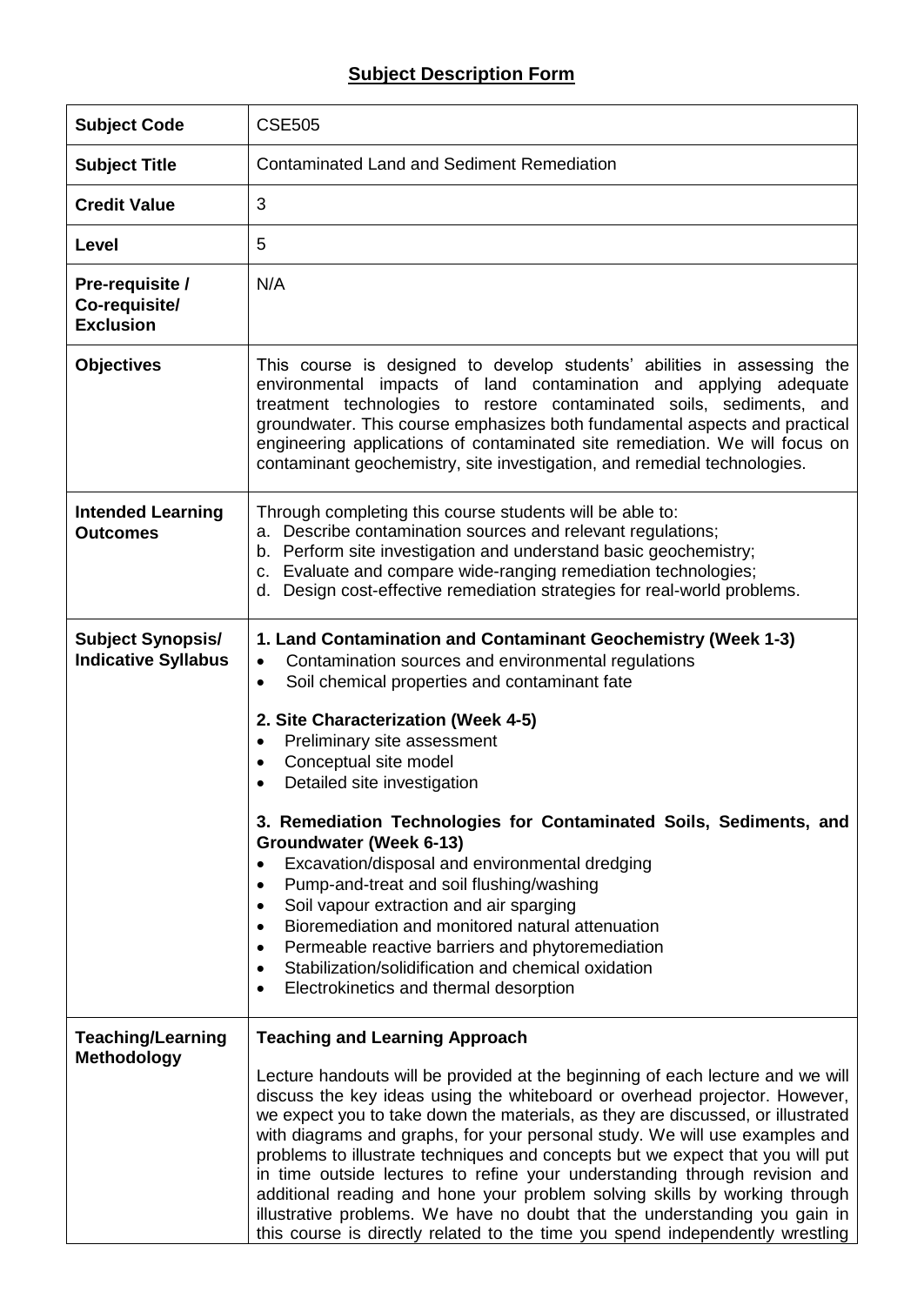## **Subject Description Form**

| <b>Subject Code</b>                                    | <b>CSE505</b>                                                                                                                                                                                                                                                                                                                                                                                                                                                                                                                                                                                                                                                                                                                                                                                                                                                       |
|--------------------------------------------------------|---------------------------------------------------------------------------------------------------------------------------------------------------------------------------------------------------------------------------------------------------------------------------------------------------------------------------------------------------------------------------------------------------------------------------------------------------------------------------------------------------------------------------------------------------------------------------------------------------------------------------------------------------------------------------------------------------------------------------------------------------------------------------------------------------------------------------------------------------------------------|
| <b>Subject Title</b>                                   | <b>Contaminated Land and Sediment Remediation</b>                                                                                                                                                                                                                                                                                                                                                                                                                                                                                                                                                                                                                                                                                                                                                                                                                   |
| <b>Credit Value</b>                                    | 3                                                                                                                                                                                                                                                                                                                                                                                                                                                                                                                                                                                                                                                                                                                                                                                                                                                                   |
| Level                                                  | 5                                                                                                                                                                                                                                                                                                                                                                                                                                                                                                                                                                                                                                                                                                                                                                                                                                                                   |
| Pre-requisite /<br>Co-requisite/<br><b>Exclusion</b>   | N/A                                                                                                                                                                                                                                                                                                                                                                                                                                                                                                                                                                                                                                                                                                                                                                                                                                                                 |
| <b>Objectives</b>                                      | This course is designed to develop students' abilities in assessing the<br>environmental impacts of land contamination and applying adequate<br>treatment technologies to restore contaminated soils, sediments, and<br>groundwater. This course emphasizes both fundamental aspects and practical<br>engineering applications of contaminated site remediation. We will focus on<br>contaminant geochemistry, site investigation, and remedial technologies.                                                                                                                                                                                                                                                                                                                                                                                                       |
| <b>Intended Learning</b><br><b>Outcomes</b>            | Through completing this course students will be able to:<br>a. Describe contamination sources and relevant regulations;<br>b. Perform site investigation and understand basic geochemistry;<br>c. Evaluate and compare wide-ranging remediation technologies;<br>d. Design cost-effective remediation strategies for real-world problems.                                                                                                                                                                                                                                                                                                                                                                                                                                                                                                                           |
| <b>Subject Synopsis/</b><br><b>Indicative Syllabus</b> | 1. Land Contamination and Contaminant Geochemistry (Week 1-3)<br>Contamination sources and environmental regulations<br>$\bullet$<br>Soil chemical properties and contaminant fate<br>$\bullet$<br>2. Site Characterization (Week 4-5)<br>Preliminary site assessment<br>$\bullet$<br>Conceptual site model<br>Detailed site investigation<br>3. Remediation Technologies for Contaminated Soils, Sediments, and<br>Groundwater (Week 6-13)<br>Excavation/disposal and environmental dredging<br>Pump-and-treat and soil flushing/washing<br>$\bullet$<br>Soil vapour extraction and air sparging<br>$\bullet$<br>Bioremediation and monitored natural attenuation<br>$\bullet$<br>Permeable reactive barriers and phytoremediation<br>$\bullet$<br>Stabilization/solidification and chemical oxidation<br>$\bullet$<br>Electrokinetics and thermal desorption<br>٠ |
| <b>Teaching/Learning</b><br><b>Methodology</b>         | <b>Teaching and Learning Approach</b><br>Lecture handouts will be provided at the beginning of each lecture and we will<br>discuss the key ideas using the whiteboard or overhead projector. However,<br>we expect you to take down the materials, as they are discussed, or illustrated<br>with diagrams and graphs, for your personal study. We will use examples and<br>problems to illustrate techniques and concepts but we expect that you will put<br>in time outside lectures to refine your understanding through revision and<br>additional reading and hone your problem solving skills by working through<br>illustrative problems. We have no doubt that the understanding you gain in<br>this course is directly related to the time you spend independently wrestling                                                                                |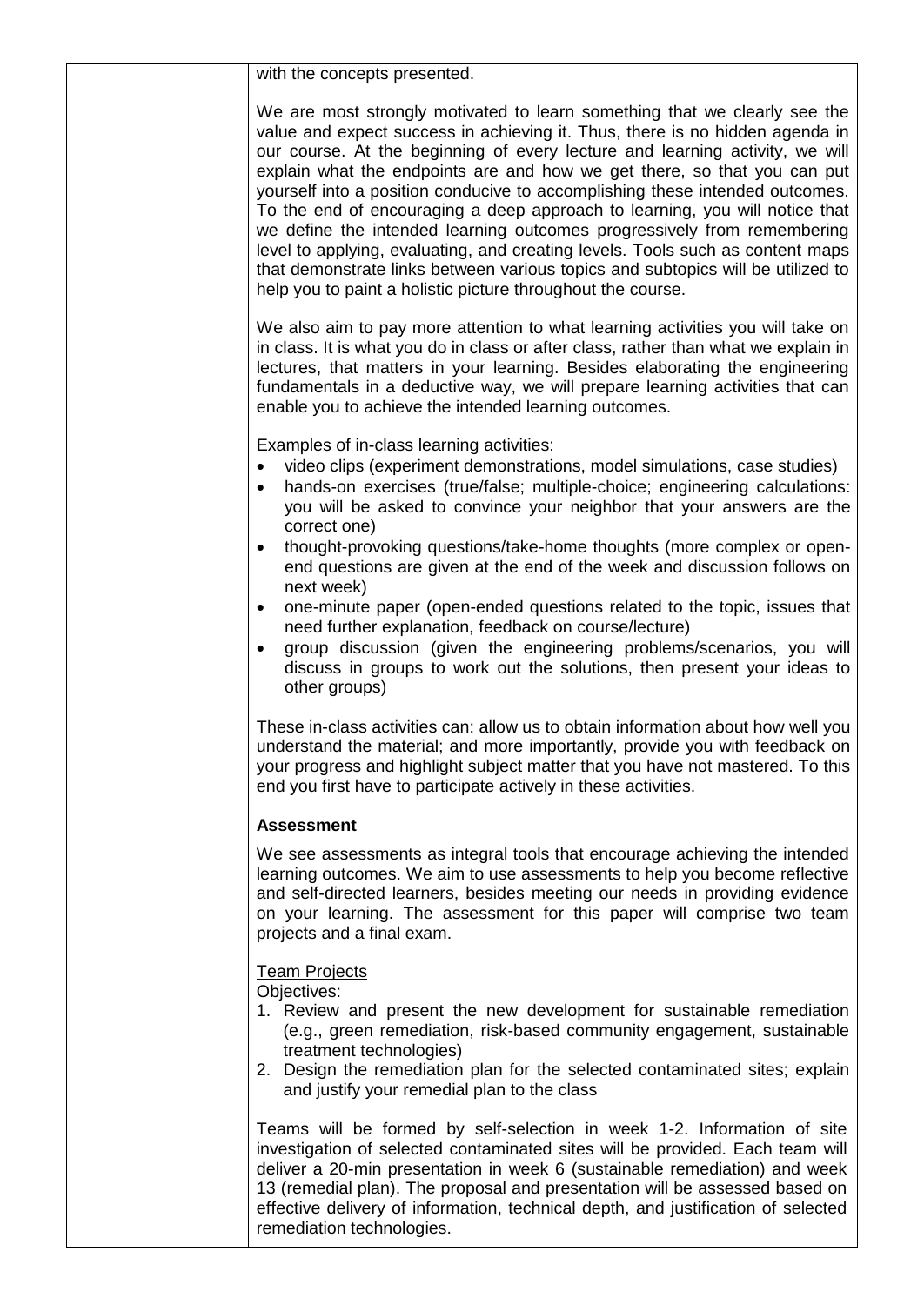with the concepts presented.

We are most strongly motivated to learn something that we clearly see the value and expect success in achieving it. Thus, there is no hidden agenda in our course. At the beginning of every lecture and learning activity, we will explain what the endpoints are and how we get there, so that you can put yourself into a position conducive to accomplishing these intended outcomes. To the end of encouraging a deep approach to learning, you will notice that we define the intended learning outcomes progressively from remembering level to applying, evaluating, and creating levels. Tools such as content maps that demonstrate links between various topics and subtopics will be utilized to help you to paint a holistic picture throughout the course.

We also aim to pay more attention to what learning activities you will take on in class. It is what you do in class or after class, rather than what we explain in lectures, that matters in your learning. Besides elaborating the engineering fundamentals in a deductive way, we will prepare learning activities that can enable you to achieve the intended learning outcomes.

Examples of in-class learning activities:

- video clips (experiment demonstrations, model simulations, case studies)
- hands-on exercises (true/false; multiple-choice; engineering calculations: you will be asked to convince your neighbor that your answers are the correct one)
- thought-provoking questions/take-home thoughts (more complex or openend questions are given at the end of the week and discussion follows on next week)
- one-minute paper (open-ended questions related to the topic, issues that need further explanation, feedback on course/lecture)
- group discussion (given the engineering problems/scenarios, you will discuss in groups to work out the solutions, then present your ideas to other groups)

These in-class activities can: allow us to obtain information about how well you understand the material; and more importantly, provide you with feedback on your progress and highlight subject matter that you have not mastered. To this end you first have to participate actively in these activities.

## **Assessment**

We see assessments as integral tools that encourage achieving the intended learning outcomes. We aim to use assessments to help you become reflective and self-directed learners, besides meeting our needs in providing evidence on your learning. The assessment for this paper will comprise two team projects and a final exam.

## **Team Projects**

Objectives:

- 1. Review and present the new development for sustainable remediation (e.g., green remediation, risk-based community engagement, sustainable treatment technologies)
- 2. Design the remediation plan for the selected contaminated sites; explain and justify your remedial plan to the class

Teams will be formed by self-selection in week 1-2. Information of site investigation of selected contaminated sites will be provided. Each team will deliver a 20-min presentation in week 6 (sustainable remediation) and week 13 (remedial plan). The proposal and presentation will be assessed based on effective delivery of information, technical depth, and justification of selected remediation technologies.